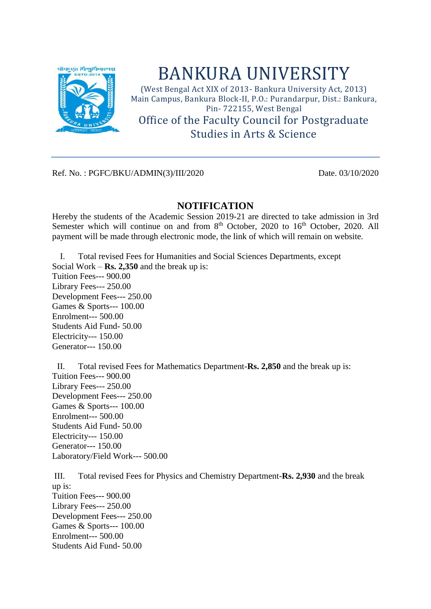

## BANKURA UNIVERSITY

(West Bengal Act XIX of 2013- Bankura University Act, 2013) Main Campus, Bankura Block-II, P.O.: Purandarpur, Dist.: Bankura, Pin- 722155, West Bengal

Office of the Faculty Council for Postgraduate Studies in Arts & Science

Ref. No. : PGFC/BKU/ADMIN(3)/III/2020 Date. 03/10/2020

## **NOTIFICATION**

Hereby the students of the Academic Session 2019-21 are directed to take admission in 3rd Semester which will continue on and from 8<sup>th</sup> October, 2020 to 16<sup>th</sup> October, 2020. All payment will be made through electronic mode, the link of which will remain on website.

I. Total revised Fees for Humanities and Social Sciences Departments, except Social Work – **Rs. 2,350** and the break up is: Tuition Fees--- 900.00 Library Fees--- 250.00 Development Fees--- 250.00 Games & Sports--- 100.00 Enrolment--- 500.00 Students Aid Fund- 50.00 Electricity--- 150.00 Generator--- 150.00

II. Total revised Fees for Mathematics Department-**Rs. 2,850** and the break up is: Tuition Fees--- 900.00 Library Fees--- 250.00 Development Fees--- 250.00 Games & Sports--- 100.00 Enrolment--- 500.00 Students Aid Fund- 50.00 Electricity--- 150.00 Generator--- 150.00 Laboratory/Field Work--- 500.00

III. Total revised Fees for Physics and Chemistry Department-**Rs. 2,930** and the break up is: Tuition Fees--- 900.00 Library Fees--- 250.00 Development Fees--- 250.00 Games & Sports--- 100.00 Enrolment--- 500.00 Students Aid Fund- 50.00